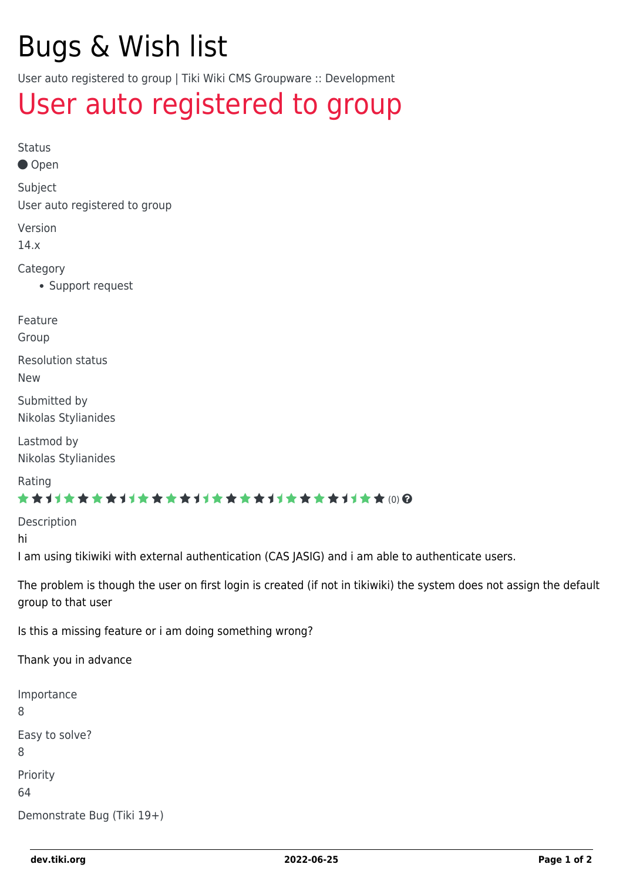# Bugs & Wish list

User auto registered to group | Tiki Wiki CMS Groupware :: Development

## [User auto registered to group](https://dev.tiki.org/item5965-User-auto-registered-to-group)

Status ● Open Subject User auto registered to group Version 14.x Category

Support request

Feature

Group

Resolution status New

Submitted by Nikolas Stylianides

Lastmod by Nikolas Stylianides

Rating

#### \*\*\*\*\*\*\*\*\*\*\*\*\*\*\*\*\*\*\*\*\*\*\*\*\*\*\*\*\*\*

Description

hi

I am using tikiwiki with external authentication (CAS JASIG) and i am able to authenticate users.

The problem is though the user on first login is created (if not in tikiwiki) the system does not assign the default group to that user

Is this a missing feature or i am doing something wrong?

Thank you in advance

Importance 8 Easy to solve? 8 Priority 64 Demonstrate Bug (Tiki 19+)